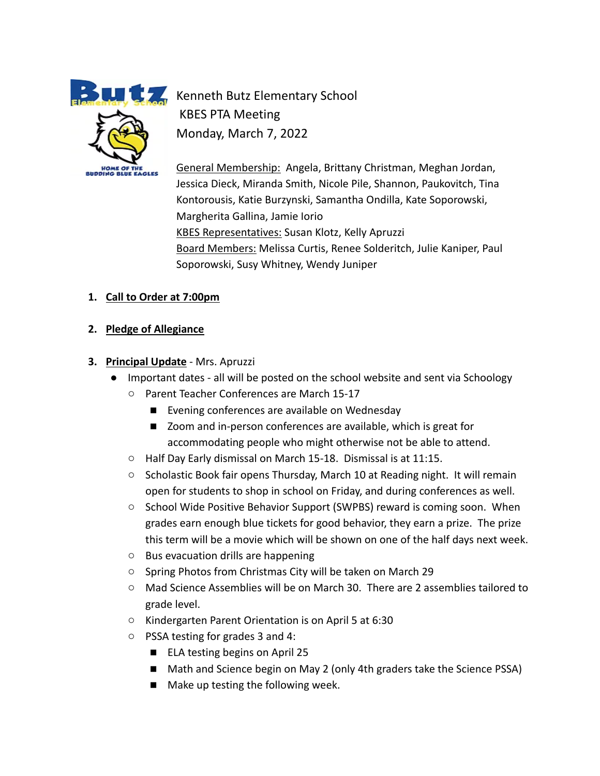**HOME OF THE BUDDING BLUE EAGLES** 

**Kenneth Butz Elementary School** KBES PTA Meeting Monday, March 7, 2022

> General Membership: Angela, Brittany Christman, Meghan Jordan, Jessica Dieck, Miranda Smith, Nicole Pile, Shannon, Paukovitch, Tina Kontorousis, Katie Burzynski, Samantha Ondilla, Kate Soporowski, Margherita Gallina, Jamie Iorio KBES Representatives: Susan Klotz, Kelly Apruzzi Board Members: Melissa Curtis, Renee Solderitch, Julie Kaniper, Paul Soporowski, Susy Whitney, Wendy Juniper

### **1. Call to Order at 7:00pm**

- **2. Pledge of Allegiance**
- **3. Principal Update** Mrs. Apruzzi
	- Important dates all will be posted on the school website and sent via Schoology
		- Parent Teacher Conferences are March 15-17
			- Evening conferences are available on Wednesday
			- Zoom and in-person conferences are available, which is great for accommodating people who might otherwise not be able to attend.
		- Half Day Early dismissal on March 15-18. Dismissal is at 11:15.
		- Scholastic Book fair opens Thursday, March 10 at Reading night. It will remain open for students to shop in school on Friday, and during conferences as well.
		- School Wide Positive Behavior Support (SWPBS) reward is coming soon. When grades earn enough blue tickets for good behavior, they earn a prize. The prize this term will be a movie which will be shown on one of the half days next week.
		- Bus evacuation drills are happening
		- Spring Photos from Christmas City will be taken on March 29
		- Mad Science Assemblies will be on March 30. There are 2 assemblies tailored to grade level.
		- Kindergarten Parent Orientation is on April 5 at 6:30
		- PSSA testing for grades 3 and 4:
			- ELA testing begins on April 25
			- Math and Science begin on May 2 (only 4th graders take the Science PSSA)
			- Make up testing the following week.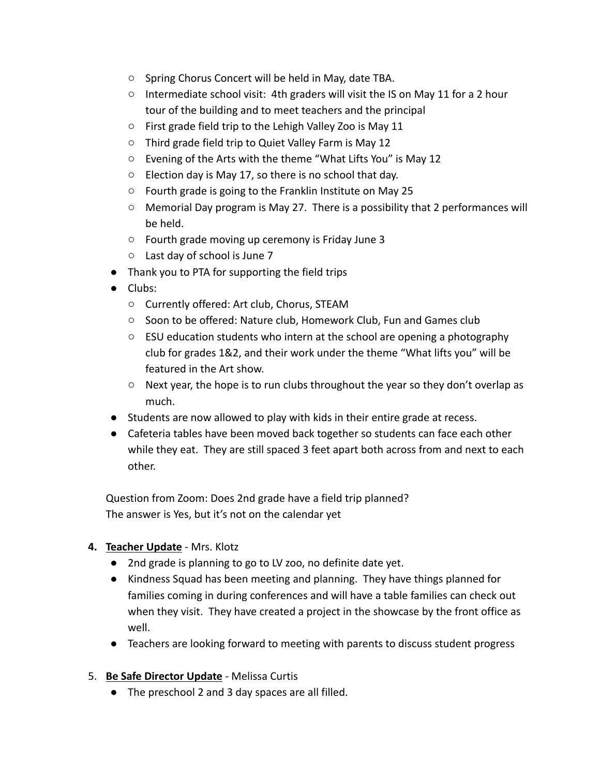- Spring Chorus Concert will be held in May, date TBA.
- $\circ$  Intermediate school visit: 4th graders will visit the IS on May 11 for a 2 hour tour of the building and to meet teachers and the principal
- First grade field trip to the Lehigh Valley Zoo is May 11
- Third grade field trip to Quiet Valley Farm is May 12
- Evening of the Arts with the theme "What Lifts You" is May 12
- Election day is May 17, so there is no school that day.
- Fourth grade is going to the Franklin Institute on May 25
- $\circ$  Memorial Day program is May 27. There is a possibility that 2 performances will be held.
- Fourth grade moving up ceremony is Friday June 3
- Last day of school is June 7
- Thank you to PTA for supporting the field trips
- Clubs:
	- Currently offered: Art club, Chorus, STEAM
	- Soon to be offered: Nature club, Homework Club, Fun and Games club
	- ESU education students who intern at the school are opening a photography club for grades 1&2, and their work under the theme "What lifts you" will be featured in the Art show.
	- $\circ$  Next year, the hope is to run clubs throughout the year so they don't overlap as much.
- Students are now allowed to play with kids in their entire grade at recess.
- Cafeteria tables have been moved back together so students can face each other while they eat. They are still spaced 3 feet apart both across from and next to each other.

Question from Zoom: Does 2nd grade have a field trip planned? The answer is Yes, but it's not on the calendar yet

- **4. Teacher Update** Mrs. Klotz
	- 2nd grade is planning to go to LV zoo, no definite date yet.
	- Kindness Squad has been meeting and planning. They have things planned for families coming in during conferences and will have a table families can check out when they visit. They have created a project in the showcase by the front office as well.
	- Teachers are looking forward to meeting with parents to discuss student progress
- 5. **Be Safe Director Update** Melissa Curtis
	- The preschool 2 and 3 day spaces are all filled.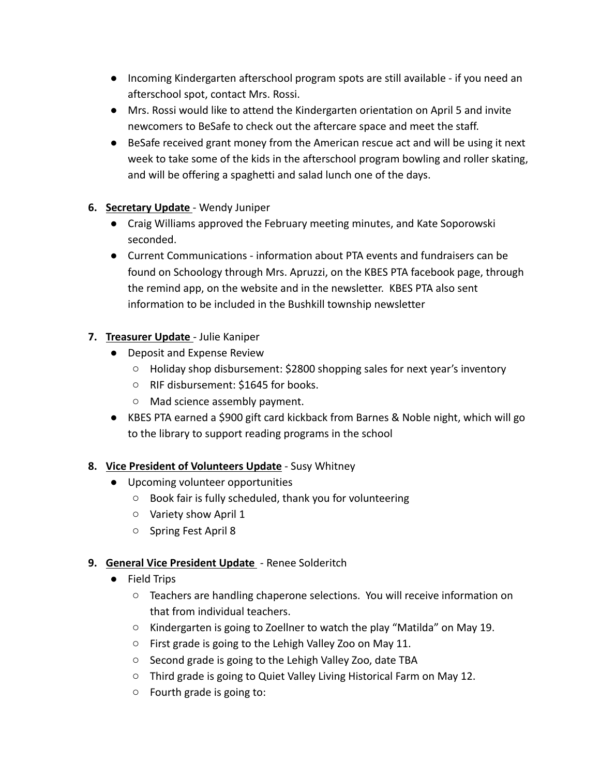- Incoming Kindergarten afterschool program spots are still available if you need an afterschool spot, contact Mrs. Rossi.
- Mrs. Rossi would like to attend the Kindergarten orientation on April 5 and invite newcomers to BeSafe to check out the aftercare space and meet the staff.
- BeSafe received grant money from the American rescue act and will be using it next week to take some of the kids in the afterschool program bowling and roller skating, and will be offering a spaghetti and salad lunch one of the days.
- **6. Secretary Update** Wendy Juniper
	- Craig Williams approved the February meeting minutes, and Kate Soporowski seconded.
	- Current Communications information about PTA events and fundraisers can be found on Schoology through Mrs. Apruzzi, on the KBES PTA facebook page, through the remind app, on the website and in the newsletter. KBES PTA also sent information to be included in the Bushkill township newsletter

# **7. Treasurer Update** - Julie Kaniper

- Deposit and Expense Review
	- Holiday shop disbursement: \$2800 shopping sales for next year's inventory
	- RIF disbursement: \$1645 for books.
	- Mad science assembly payment.
- KBES PTA earned a \$900 gift card kickback from Barnes & Noble night, which will go to the library to support reading programs in the school

## **8. Vice President of Volunteers Update** - Susy Whitney

- Upcoming volunteer opportunities
	- Book fair is fully scheduled, thank you for volunteering
	- Variety show April 1
	- Spring Fest April 8

## **9. General Vice President Update** - Renee Solderitch

- Field Trips
	- Teachers are handling chaperone selections. You will receive information on that from individual teachers.
	- Kindergarten is going to Zoellner to watch the play "Matilda" on May 19.
	- First grade is going to the Lehigh Valley Zoo on May 11.
	- Second grade is going to the Lehigh Valley Zoo, date TBA
	- Third grade is going to Quiet Valley Living Historical Farm on May 12.
	- Fourth grade is going to: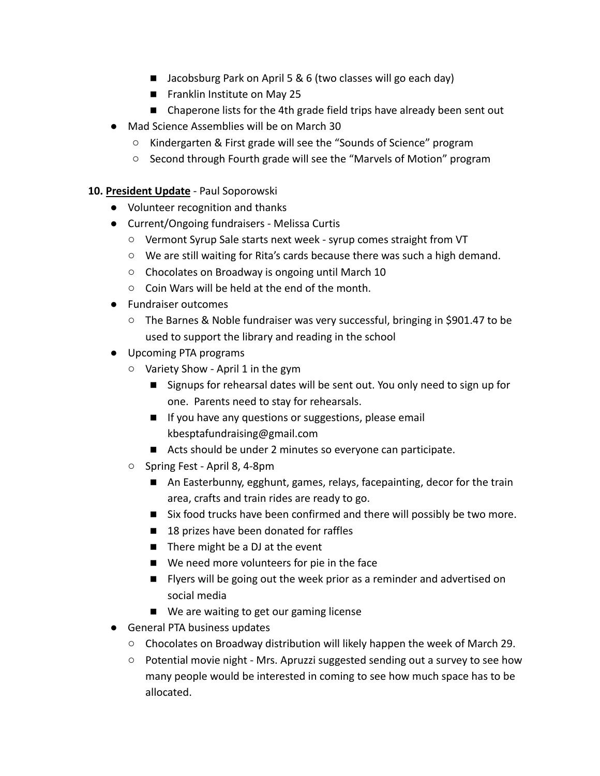- Jacobsburg Park on April 5 & 6 (two classes will go each day)
- Franklin Institute on May 25
- Chaperone lists for the 4th grade field trips have already been sent out
- Mad Science Assemblies will be on March 30
	- Kindergarten & First grade will see the "Sounds of Science" program
	- Second through Fourth grade will see the "Marvels of Motion" program

#### **10. President Update** - Paul Soporowski

- Volunteer recognition and thanks
- Current/Ongoing fundraisers Melissa Curtis
	- Vermont Syrup Sale starts next week syrup comes straight from VT
	- We are still waiting for Rita's cards because there was such a high demand.
	- Chocolates on Broadway is ongoing until March 10
	- Coin Wars will be held at the end of the month.
- Fundraiser outcomes
	- The Barnes & Noble fundraiser was very successful, bringing in \$901.47 to be used to support the library and reading in the school
- Upcoming PTA programs
	- Variety Show April 1 in the gym
		- Signups for rehearsal dates will be sent out. You only need to sign up for one. Parents need to stay for rehearsals.
		- If you have any questions or suggestions, please email [kbesptafundraising@gmail.com](mailto:kbesptafundraising@gmail.com)
		- Acts should be under 2 minutes so everyone can participate.
	- Spring Fest April 8, 4-8pm
		- An Easterbunny, egghunt, games, relays, facepainting, decor for the train area, crafts and train rides are ready to go.
		- Six food trucks have been confirmed and there will possibly be two more.
		- 18 prizes have been donated for raffles
		- There might be a DJ at the event
		- We need more volunteers for pie in the face
		- Flyers will be going out the week prior as a reminder and advertised on social media
		- We are waiting to get our gaming license
- General PTA business updates
	- Chocolates on Broadway distribution will likely happen the week of March 29.
	- Potential movie night Mrs. Apruzzi suggested sending out a survey to see how many people would be interested in coming to see how much space has to be allocated.